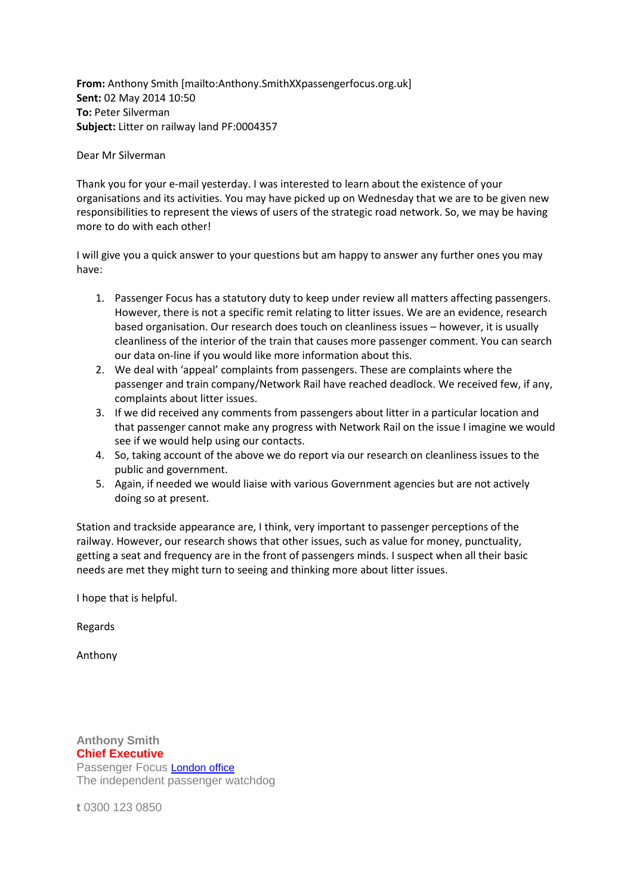**From:** Anthony Smith [mailto:Anthony.SmithXXpassengerfocus.org.uk] **Sent:** 02 May 2014 10:50 **To:** Peter Silverman **Subject:** Litter on railway land PF:0004357

## Dear Mr Silverman

Thank you for your e-mail yesterday. I was interested to learn about the existence of your organisations and its activities. You may have picked up on Wednesday that we are to be given new responsibilities to represent the views of users of the strategic road network. So, we may be having more to do with each other!

I will give you a quick answer to your questions but am happy to answer any further ones you may have:

- 1. Passenger Focus has a statutory duty to keep under review all matters affecting passengers. However, there is not a specific remit relating to litter issues. We are an evidence, research based organisation. Our research does touch on cleanliness issues – however, it is usually cleanliness of the interior of the train that causes more passenger comment. You can search our data on-line if you would like more information about this.
- 2. We deal with 'appeal' complaints from passengers. These are complaints where the passenger and train company/Network Rail have reached deadlock. We received few, if any, complaints about litter issues.
- 3. If we did received any comments from passengers about litter in a particular location and that passenger cannot make any progress with Network Rail on the issue I imagine we would see if we would help using our contacts.
- 4. So, taking account of the above we do report via our research on cleanliness issues to the public and government.
- 5. Again, if needed we would liaise with various Government agencies but are not actively doing so at present.

Station and trackside appearance are, I think, very important to passenger perceptions of the railway. However, our research shows that other issues, such as value for money, punctuality, getting a seat and frequency are in the front of passengers minds. I suspect when all their basic needs are met they might turn to seeing and thinking more about litter issues.

I hope that is helpful.

Regards

Anthony

**Anthony Smith Chief Executive** Passenger Focus [London office](http://www.passengerfocus.org.uk/contact/stakeholder-enquiries) The independent passenger watchdog

**t** 0300 123 0850